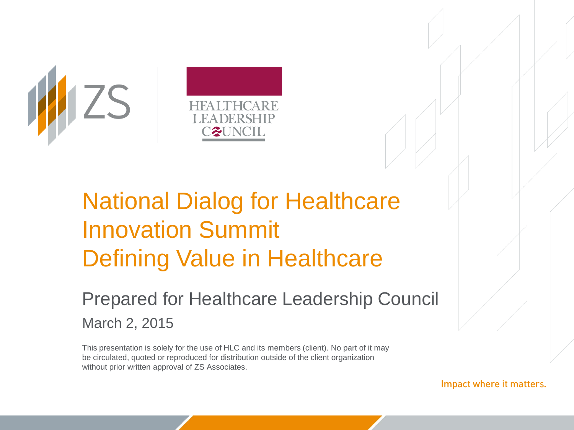

# National Dialog for Healthcare Innovation Summit Defining Value in Healthcare

#### Prepared for Healthcare Leadership Council March 2, 2015

This presentation is solely for the use of HLC and its members (client). No part of it may be circulated, quoted or reproduced for distribution outside of the client organization without prior written approval of ZS Associates.

Impact where it matters.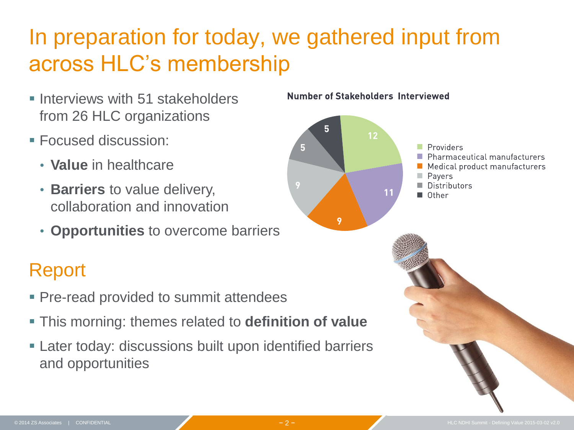## In preparation for today, we gathered input from across HLC's membership

- **Interviews with 51 stakeholders** from 26 HLC organizations
- Focused discussion:
	- **Value** in healthcare
	- **Barriers** to value delivery, collaboration and innovation
	- **Opportunities** to overcome barriers

#### Report

- **Pre-read provided to summit attendees**
- This morning: themes related to **definition of value**
- Later today: discussions built upon identified barriers and opportunities

#### Number of Stakeholders Interviewed

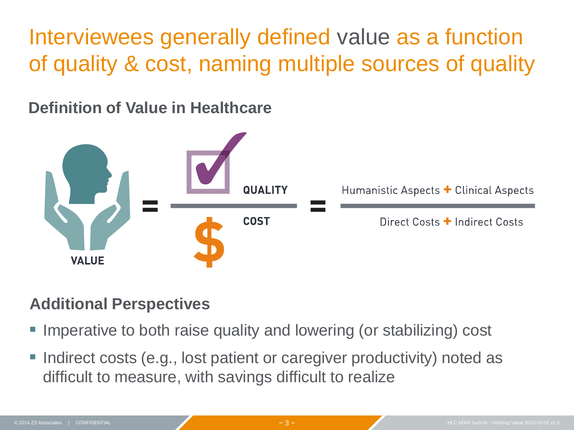Interviewees generally defined value as a function of quality & cost, naming multiple sources of quality

**Definition of Value in Healthcare**



#### **Additional Perspectives**

- Imperative to both raise quality and lowering (or stabilizing) cost
- Indirect costs (e.g., lost patient or caregiver productivity) noted as difficult to measure, with savings difficult to realize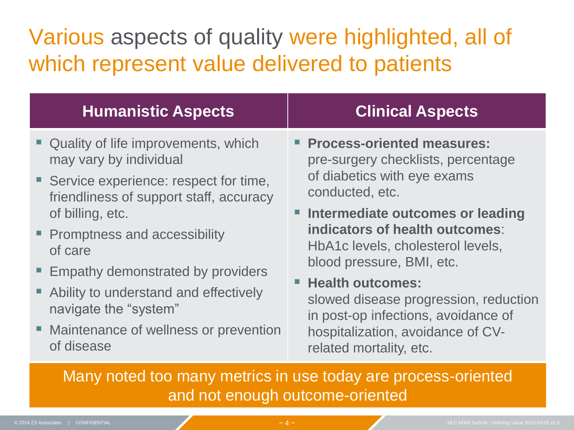## Various aspects of quality were highlighted, all of which represent value delivered to patients

| <b>Humanistic Aspects</b>                                                                                                                                                                                                                                                                                                                                                                | <b>Clinical Aspects</b>                                                                                                                                                                                                                                                                                                                                                                                                                      |
|------------------------------------------------------------------------------------------------------------------------------------------------------------------------------------------------------------------------------------------------------------------------------------------------------------------------------------------------------------------------------------------|----------------------------------------------------------------------------------------------------------------------------------------------------------------------------------------------------------------------------------------------------------------------------------------------------------------------------------------------------------------------------------------------------------------------------------------------|
| " Quality of life improvements, which<br>may vary by individual<br>■ Service experience: respect for time,<br>friendliness of support staff, accuracy<br>of billing, etc.<br>• Promptness and accessibility<br>of care<br>■ Empathy demonstrated by providers<br>Ability to understand and effectively<br>navigate the "system"<br>• Maintenance of wellness or prevention<br>of disease | <b>Process-oriented measures:</b><br>pre-surgery checklists, percentage<br>of diabetics with eye exams<br>conducted, etc.<br>Intermediate outcomes or leading<br>indicators of health outcomes:<br>HbA1c levels, cholesterol levels,<br>blood pressure, BMI, etc.<br><b>Health outcomes:</b><br>slowed disease progression, reduction<br>in post-op infections, avoidance of<br>hospitalization, avoidance of CV-<br>related mortality, etc. |
| Many noted too many metrics in use today are presence exiented                                                                                                                                                                                                                                                                                                                           |                                                                                                                                                                                                                                                                                                                                                                                                                                              |

Many noted too many metrics in use today are process-oriented and not enough outcome-oriented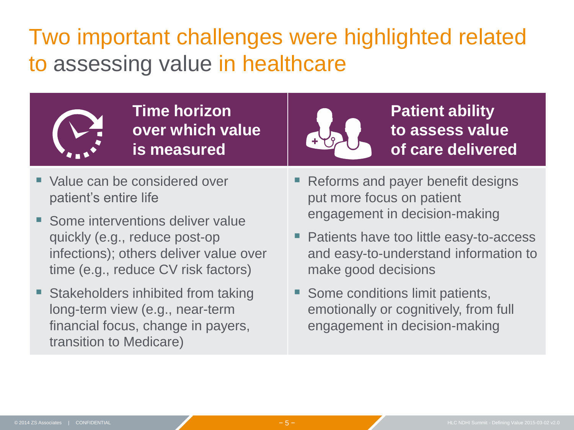### Two important challenges were highlighted related to assessing value in healthcare



**Time horizon over which value is measured**



**Patient ability to assess value of care delivered**

- Value can be considered over patient's entire life
- Some interventions deliver value quickly (e.g., reduce post-op infections); others deliver value over time (e.g., reduce CV risk factors)
- Stakeholders inhibited from taking long-term view (e.g., near-term financial focus, change in payers, transition to Medicare)
- Reforms and payer benefit designs put more focus on patient engagement in decision-making
- Patients have too little easy-to-access and easy-to-understand information to make good decisions
- Some conditions limit patients, emotionally or cognitively, from full engagement in decision-making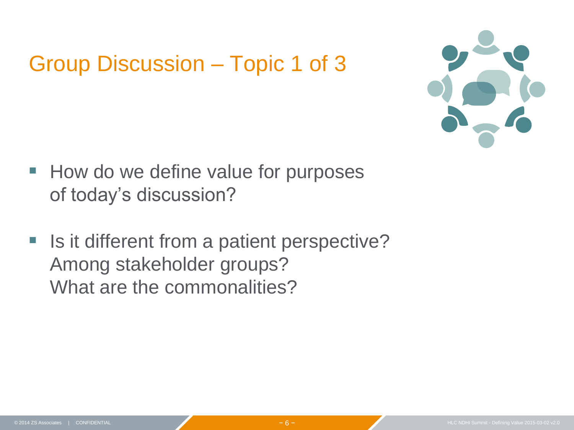#### Group Discussion – Topic 1 of 3



- **How do we define value for purposes** of today's discussion?
- Is it different from a patient perspective? Among stakeholder groups? What are the commonalities?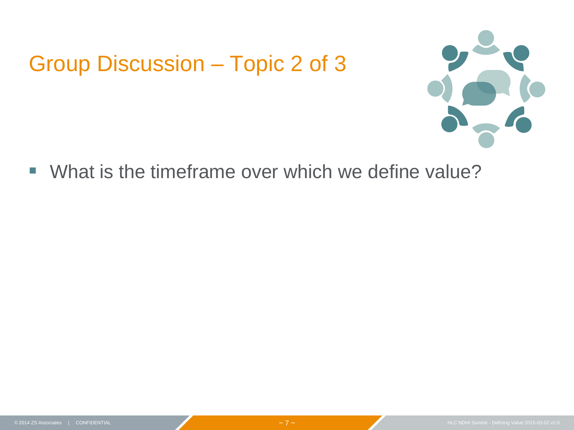#### Group Discussion – Topic 2 of 3



What is the timeframe over which we define value?